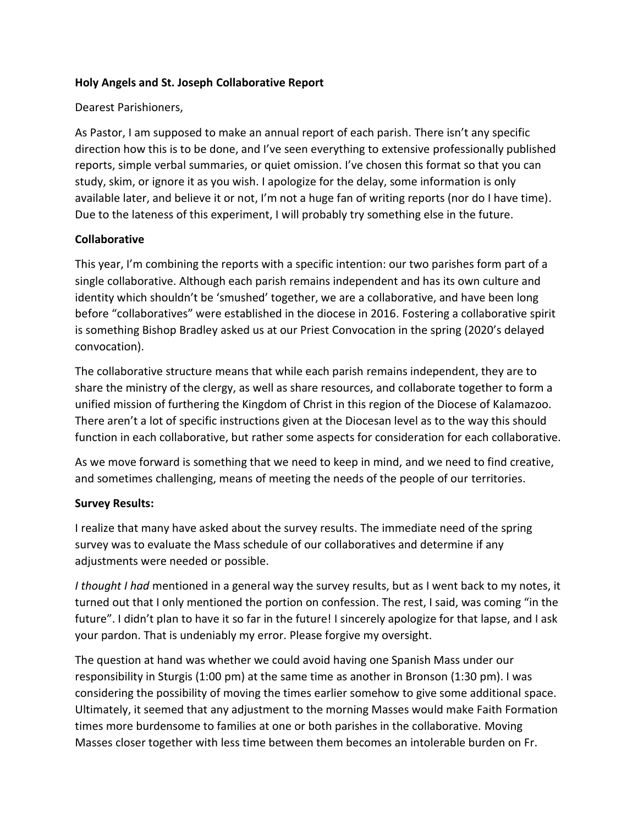### **Holy Angels and St. Joseph Collaborative Report**

### Dearest Parishioners,

As Pastor, I am supposed to make an annual report of each parish. There isn't any specific direction how this is to be done, and I've seen everything to extensive professionally published reports, simple verbal summaries, or quiet omission. I've chosen this format so that you can study, skim, or ignore it as you wish. I apologize for the delay, some information is only available later, and believe it or not, I'm not a huge fan of writing reports (nor do I have time). Due to the lateness of this experiment, I will probably try something else in the future.

### **Collaborative**

This year, I'm combining the reports with a specific intention: our two parishes form part of a single collaborative. Although each parish remains independent and has its own culture and identity which shouldn't be 'smushed' together, we are a collaborative, and have been long before "collaboratives" were established in the diocese in 2016. Fostering a collaborative spirit is something Bishop Bradley asked us at our Priest Convocation in the spring (2020's delayed convocation).

The collaborative structure means that while each parish remains independent, they are to share the ministry of the clergy, as well as share resources, and collaborate together to form a unified mission of furthering the Kingdom of Christ in this region of the Diocese of Kalamazoo. There aren't a lot of specific instructions given at the Diocesan level as to the way this should function in each collaborative, but rather some aspects for consideration for each collaborative.

As we move forward is something that we need to keep in mind, and we need to find creative, and sometimes challenging, means of meeting the needs of the people of our territories.

# **Survey Results:**

I realize that many have asked about the survey results. The immediate need of the spring survey was to evaluate the Mass schedule of our collaboratives and determine if any adjustments were needed or possible.

*I thought I had* mentioned in a general way the survey results, but as I went back to my notes, it turned out that I only mentioned the portion on confession. The rest, I said, was coming "in the future". I didn't plan to have it so far in the future! I sincerely apologize for that lapse, and I ask your pardon. That is undeniably my error. Please forgive my oversight.

The question at hand was whether we could avoid having one Spanish Mass under our responsibility in Sturgis (1:00 pm) at the same time as another in Bronson (1:30 pm). I was considering the possibility of moving the times earlier somehow to give some additional space. Ultimately, it seemed that any adjustment to the morning Masses would make Faith Formation times more burdensome to families at one or both parishes in the collaborative. Moving Masses closer together with less time between them becomes an intolerable burden on Fr.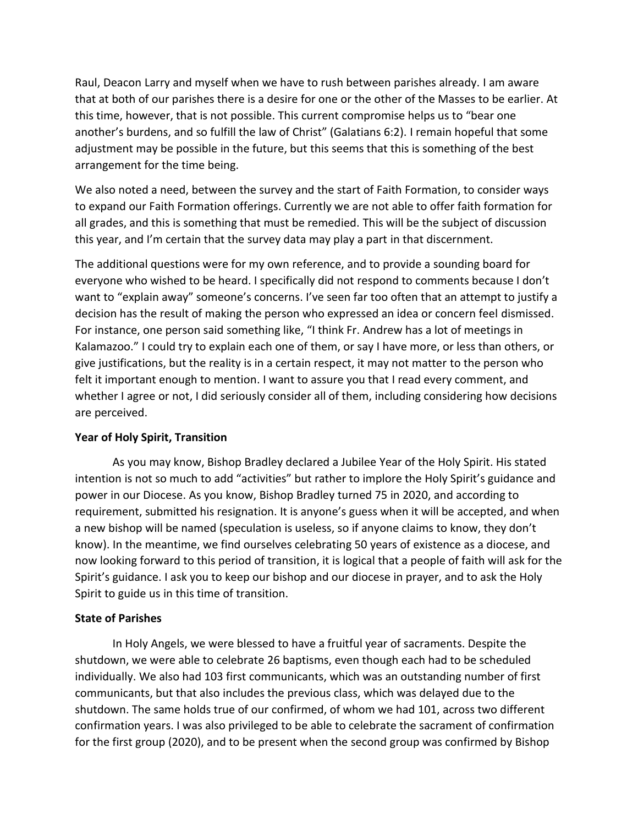Raul, Deacon Larry and myself when we have to rush between parishes already. I am aware that at both of our parishes there is a desire for one or the other of the Masses to be earlier. At this time, however, that is not possible. This current compromise helps us to "bear one another's burdens, and so fulfill the law of Christ" (Galatians 6:2). I remain hopeful that some adjustment may be possible in the future, but this seems that this is something of the best arrangement for the time being.

We also noted a need, between the survey and the start of Faith Formation, to consider ways to expand our Faith Formation offerings. Currently we are not able to offer faith formation for all grades, and this is something that must be remedied. This will be the subject of discussion this year, and I'm certain that the survey data may play a part in that discernment.

The additional questions were for my own reference, and to provide a sounding board for everyone who wished to be heard. I specifically did not respond to comments because I don't want to "explain away" someone's concerns. I've seen far too often that an attempt to justify a decision has the result of making the person who expressed an idea or concern feel dismissed. For instance, one person said something like, "I think Fr. Andrew has a lot of meetings in Kalamazoo." I could try to explain each one of them, or say I have more, or less than others, or give justifications, but the reality is in a certain respect, it may not matter to the person who felt it important enough to mention. I want to assure you that I read every comment, and whether I agree or not, I did seriously consider all of them, including considering how decisions are perceived.

#### **Year of Holy Spirit, Transition**

As you may know, Bishop Bradley declared a Jubilee Year of the Holy Spirit. His stated intention is not so much to add "activities" but rather to implore the Holy Spirit's guidance and power in our Diocese. As you know, Bishop Bradley turned 75 in 2020, and according to requirement, submitted his resignation. It is anyone's guess when it will be accepted, and when a new bishop will be named (speculation is useless, so if anyone claims to know, they don't know). In the meantime, we find ourselves celebrating 50 years of existence as a diocese, and now looking forward to this period of transition, it is logical that a people of faith will ask for the Spirit's guidance. I ask you to keep our bishop and our diocese in prayer, and to ask the Holy Spirit to guide us in this time of transition.

#### **State of Parishes**

In Holy Angels, we were blessed to have a fruitful year of sacraments. Despite the shutdown, we were able to celebrate 26 baptisms, even though each had to be scheduled individually. We also had 103 first communicants, which was an outstanding number of first communicants, but that also includes the previous class, which was delayed due to the shutdown. The same holds true of our confirmed, of whom we had 101, across two different confirmation years. I was also privileged to be able to celebrate the sacrament of confirmation for the first group (2020), and to be present when the second group was confirmed by Bishop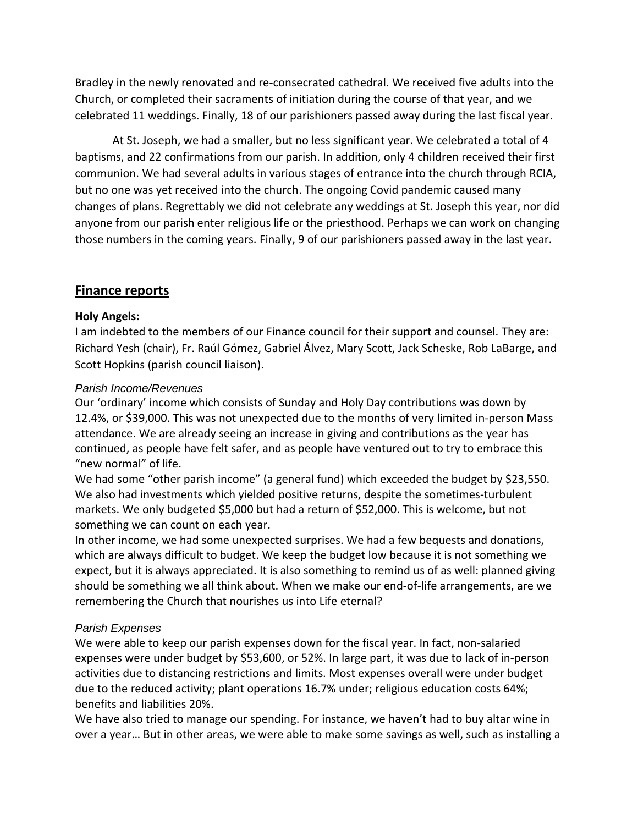Bradley in the newly renovated and re-consecrated cathedral. We received five adults into the Church, or completed their sacraments of initiation during the course of that year, and we celebrated 11 weddings. Finally, 18 of our parishioners passed away during the last fiscal year.

At St. Joseph, we had a smaller, but no less significant year. We celebrated a total of 4 baptisms, and 22 confirmations from our parish. In addition, only 4 children received their first communion. We had several adults in various stages of entrance into the church through RCIA, but no one was yet received into the church. The ongoing Covid pandemic caused many changes of plans. Regrettably we did not celebrate any weddings at St. Joseph this year, nor did anyone from our parish enter religious life or the priesthood. Perhaps we can work on changing those numbers in the coming years. Finally, 9 of our parishioners passed away in the last year.

# **Finance reports**

# **Holy Angels:**

I am indebted to the members of our Finance council for their support and counsel. They are: Richard Yesh (chair), Fr. Raúl Gómez, Gabriel Álvez, Mary Scott, Jack Scheske, Rob LaBarge, and Scott Hopkins (parish council liaison).

# *Parish Income/Revenues*

Our 'ordinary' income which consists of Sunday and Holy Day contributions was down by 12.4%, or \$39,000. This was not unexpected due to the months of very limited in-person Mass attendance. We are already seeing an increase in giving and contributions as the year has continued, as people have felt safer, and as people have ventured out to try to embrace this "new normal" of life.

We had some "other parish income" (a general fund) which exceeded the budget by \$23,550. We also had investments which yielded positive returns, despite the sometimes-turbulent markets. We only budgeted \$5,000 but had a return of \$52,000. This is welcome, but not something we can count on each year.

In other income, we had some unexpected surprises. We had a few bequests and donations, which are always difficult to budget. We keep the budget low because it is not something we expect, but it is always appreciated. It is also something to remind us of as well: planned giving should be something we all think about. When we make our end-of-life arrangements, are we remembering the Church that nourishes us into Life eternal?

# *Parish Expenses*

We were able to keep our parish expenses down for the fiscal year. In fact, non-salaried expenses were under budget by \$53,600, or 52%. In large part, it was due to lack of in-person activities due to distancing restrictions and limits. Most expenses overall were under budget due to the reduced activity; plant operations 16.7% under; religious education costs 64%; benefits and liabilities 20%.

We have also tried to manage our spending. For instance, we haven't had to buy altar wine in over a year… But in other areas, we were able to make some savings as well, such as installing a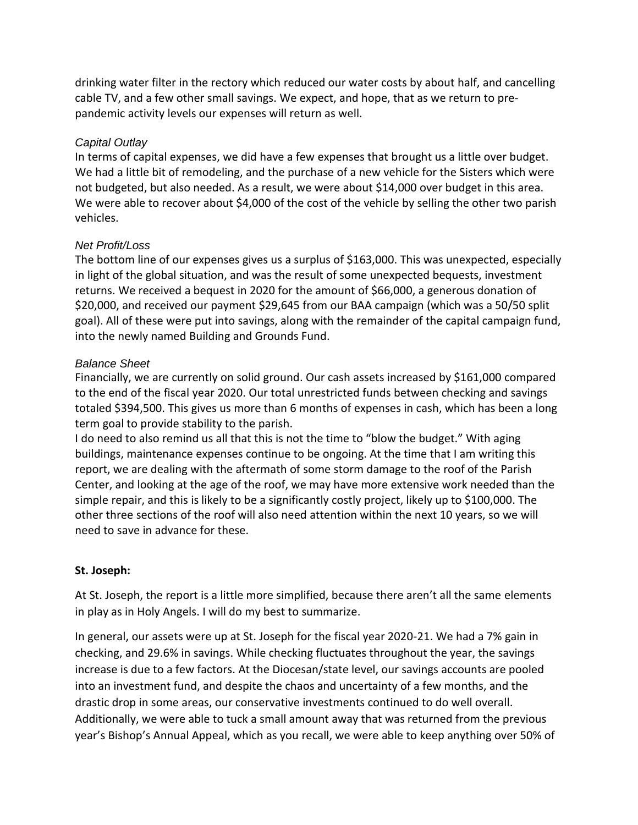drinking water filter in the rectory which reduced our water costs by about half, and cancelling cable TV, and a few other small savings. We expect, and hope, that as we return to prepandemic activity levels our expenses will return as well.

### *Capital Outlay*

In terms of capital expenses, we did have a few expenses that brought us a little over budget. We had a little bit of remodeling, and the purchase of a new vehicle for the Sisters which were not budgeted, but also needed. As a result, we were about \$14,000 over budget in this area. We were able to recover about \$4,000 of the cost of the vehicle by selling the other two parish vehicles.

### *Net Profit/Loss*

The bottom line of our expenses gives us a surplus of \$163,000. This was unexpected, especially in light of the global situation, and was the result of some unexpected bequests, investment returns. We received a bequest in 2020 for the amount of \$66,000, a generous donation of \$20,000, and received our payment \$29,645 from our BAA campaign (which was a 50/50 split goal). All of these were put into savings, along with the remainder of the capital campaign fund, into the newly named Building and Grounds Fund.

### *Balance Sheet*

Financially, we are currently on solid ground. Our cash assets increased by \$161,000 compared to the end of the fiscal year 2020. Our total unrestricted funds between checking and savings totaled \$394,500. This gives us more than 6 months of expenses in cash, which has been a long term goal to provide stability to the parish.

I do need to also remind us all that this is not the time to "blow the budget." With aging buildings, maintenance expenses continue to be ongoing. At the time that I am writing this report, we are dealing with the aftermath of some storm damage to the roof of the Parish Center, and looking at the age of the roof, we may have more extensive work needed than the simple repair, and this is likely to be a significantly costly project, likely up to \$100,000. The other three sections of the roof will also need attention within the next 10 years, so we will need to save in advance for these.

# **St. Joseph:**

At St. Joseph, the report is a little more simplified, because there aren't all the same elements in play as in Holy Angels. I will do my best to summarize.

In general, our assets were up at St. Joseph for the fiscal year 2020-21. We had a 7% gain in checking, and 29.6% in savings. While checking fluctuates throughout the year, the savings increase is due to a few factors. At the Diocesan/state level, our savings accounts are pooled into an investment fund, and despite the chaos and uncertainty of a few months, and the drastic drop in some areas, our conservative investments continued to do well overall. Additionally, we were able to tuck a small amount away that was returned from the previous year's Bishop's Annual Appeal, which as you recall, we were able to keep anything over 50% of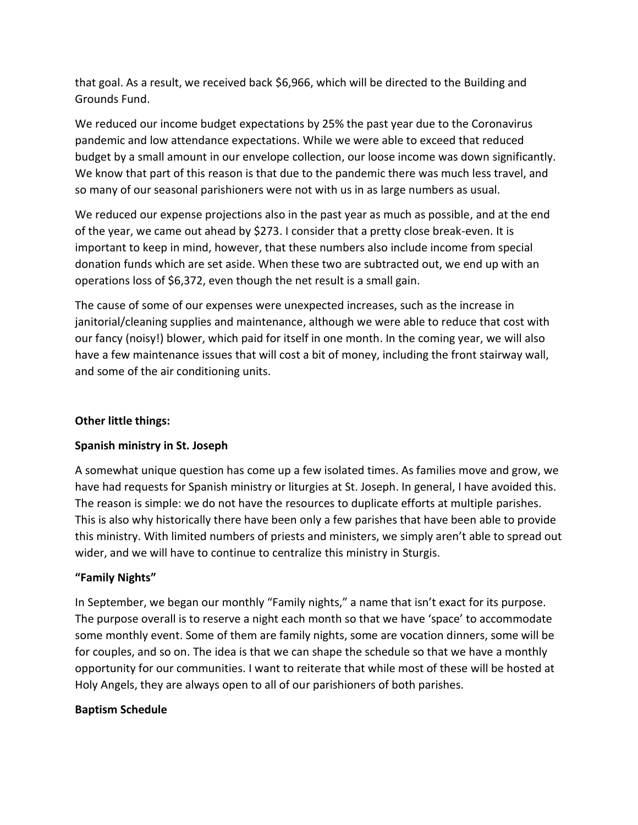that goal. As a result, we received back \$6,966, which will be directed to the Building and Grounds Fund.

We reduced our income budget expectations by 25% the past year due to the Coronavirus pandemic and low attendance expectations. While we were able to exceed that reduced budget by a small amount in our envelope collection, our loose income was down significantly. We know that part of this reason is that due to the pandemic there was much less travel, and so many of our seasonal parishioners were not with us in as large numbers as usual.

We reduced our expense projections also in the past year as much as possible, and at the end of the year, we came out ahead by \$273. I consider that a pretty close break-even. It is important to keep in mind, however, that these numbers also include income from special donation funds which are set aside. When these two are subtracted out, we end up with an operations loss of \$6,372, even though the net result is a small gain.

The cause of some of our expenses were unexpected increases, such as the increase in janitorial/cleaning supplies and maintenance, although we were able to reduce that cost with our fancy (noisy!) blower, which paid for itself in one month. In the coming year, we will also have a few maintenance issues that will cost a bit of money, including the front stairway wall, and some of the air conditioning units.

# **Other little things:**

#### **Spanish ministry in St. Joseph**

A somewhat unique question has come up a few isolated times. As families move and grow, we have had requests for Spanish ministry or liturgies at St. Joseph. In general, I have avoided this. The reason is simple: we do not have the resources to duplicate efforts at multiple parishes. This is also why historically there have been only a few parishes that have been able to provide this ministry. With limited numbers of priests and ministers, we simply aren't able to spread out wider, and we will have to continue to centralize this ministry in Sturgis.

#### **"Family Nights"**

In September, we began our monthly "Family nights," a name that isn't exact for its purpose. The purpose overall is to reserve a night each month so that we have 'space' to accommodate some monthly event. Some of them are family nights, some are vocation dinners, some will be for couples, and so on. The idea is that we can shape the schedule so that we have a monthly opportunity for our communities. I want to reiterate that while most of these will be hosted at Holy Angels, they are always open to all of our parishioners of both parishes.

#### **Baptism Schedule**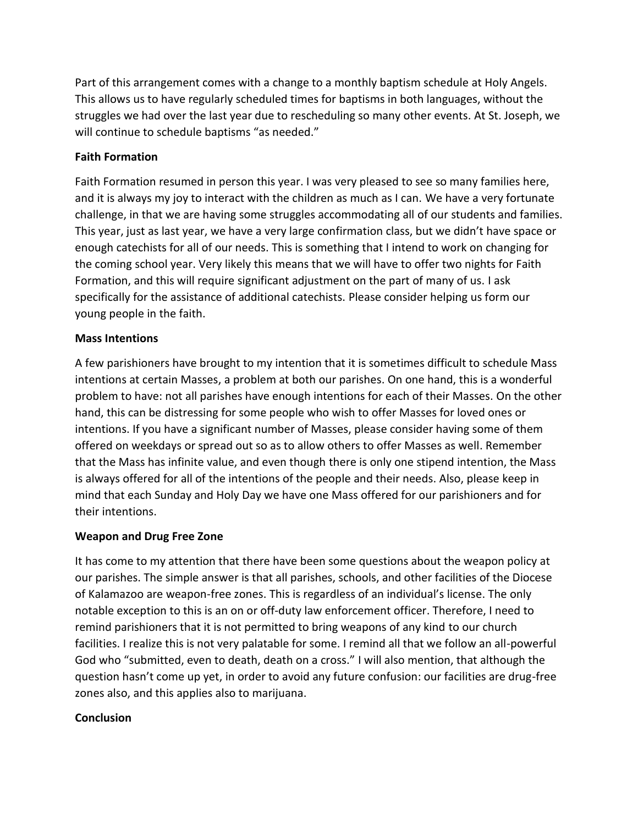Part of this arrangement comes with a change to a monthly baptism schedule at Holy Angels. This allows us to have regularly scheduled times for baptisms in both languages, without the struggles we had over the last year due to rescheduling so many other events. At St. Joseph, we will continue to schedule baptisms "as needed."

# **Faith Formation**

Faith Formation resumed in person this year. I was very pleased to see so many families here, and it is always my joy to interact with the children as much as I can. We have a very fortunate challenge, in that we are having some struggles accommodating all of our students and families. This year, just as last year, we have a very large confirmation class, but we didn't have space or enough catechists for all of our needs. This is something that I intend to work on changing for the coming school year. Very likely this means that we will have to offer two nights for Faith Formation, and this will require significant adjustment on the part of many of us. I ask specifically for the assistance of additional catechists. Please consider helping us form our young people in the faith.

# **Mass Intentions**

A few parishioners have brought to my intention that it is sometimes difficult to schedule Mass intentions at certain Masses, a problem at both our parishes. On one hand, this is a wonderful problem to have: not all parishes have enough intentions for each of their Masses. On the other hand, this can be distressing for some people who wish to offer Masses for loved ones or intentions. If you have a significant number of Masses, please consider having some of them offered on weekdays or spread out so as to allow others to offer Masses as well. Remember that the Mass has infinite value, and even though there is only one stipend intention, the Mass is always offered for all of the intentions of the people and their needs. Also, please keep in mind that each Sunday and Holy Day we have one Mass offered for our parishioners and for their intentions.

# **Weapon and Drug Free Zone**

It has come to my attention that there have been some questions about the weapon policy at our parishes. The simple answer is that all parishes, schools, and other facilities of the Diocese of Kalamazoo are weapon-free zones. This is regardless of an individual's license. The only notable exception to this is an on or off-duty law enforcement officer. Therefore, I need to remind parishioners that it is not permitted to bring weapons of any kind to our church facilities. I realize this is not very palatable for some. I remind all that we follow an all-powerful God who "submitted, even to death, death on a cross." I will also mention, that although the question hasn't come up yet, in order to avoid any future confusion: our facilities are drug-free zones also, and this applies also to marijuana.

# **Conclusion**